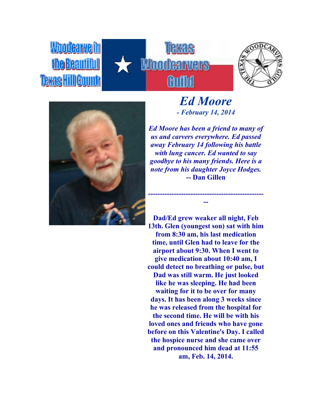





**Woodcarveim** 

the Beautiful

Teras Hill Countr

*Ed Moore - February 14, 2014*

*Ed Moore has been a friend to many of us and carvers everywhere. Ed passed away February 14 following his battle with lung cancer. Ed wanted to say goodbye to his many friends. Here is a note from his daughter Joyce Hodges.* **-- Dan Gillen**

**------------------------------------------------- --**

**Dad/Ed grew weaker all night, Feb 13th. Glen (youngest son) sat with him from 8:30 am, his last medication time, until Glen had to leave for the airport about 9:30. When I went to give medication about 10:40 am, I could detect no breathing or pulse, but Dad was still warm. He just looked like he was sleeping. He had been waiting for it to be over for many days. It has been along 3 weeks since he was released from the hospital for the second time. He will be with his loved ones and friends who have gone before on this Valentine's Day. I called the hospice nurse and she came over and pronounced him dead at 11:55 am, Feb. 14, 2014.**